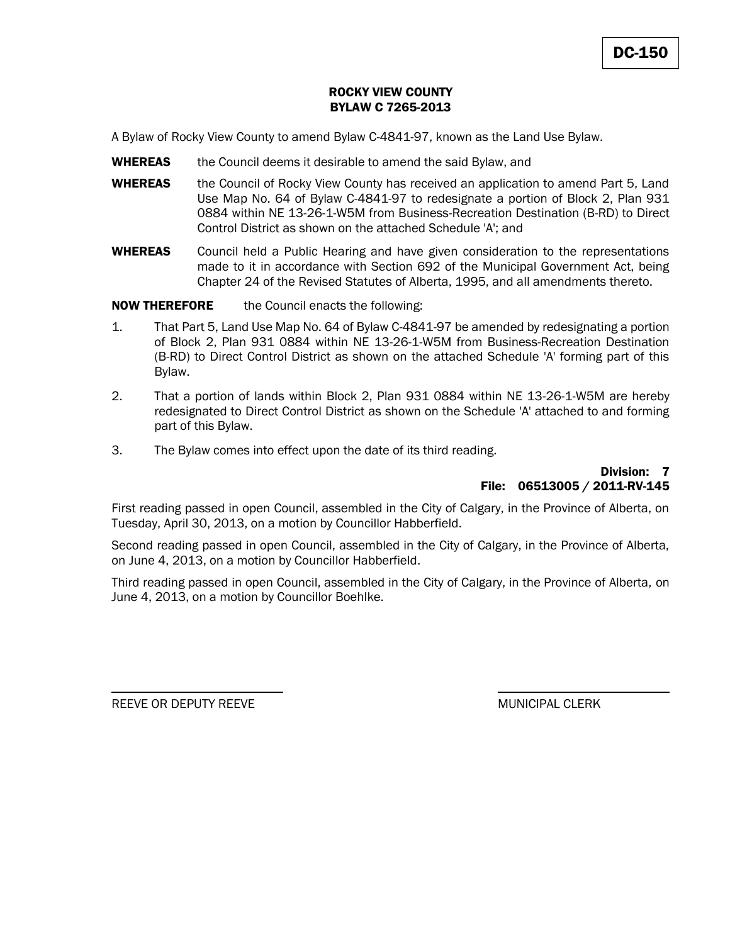## ROCKY VIEW COUNTY BYLAW C 7265-2013

A Bylaw of Rocky View County to amend Bylaw C-4841-97, known as the Land Use Bylaw.

- **WHEREAS** the Council deems it desirable to amend the said Bylaw, and
- WHEREAS the Council of Rocky View County has received an application to amend Part 5, Land Use Map No. 64 of Bylaw C-4841-97 to redesignate a portion of Block 2, Plan 931 0884 within NE 13-26-1-W5M from Business-Recreation Destination (B-RD) to Direct Control District as shown on the attached Schedule 'A'; and
- **WHEREAS** Council held a Public Hearing and have given consideration to the representations made to it in accordance with Section 692 of the Municipal Government Act, being Chapter 24 of the Revised Statutes of Alberta, 1995, and all amendments thereto.

**NOW THEREFORE** the Council enacts the following:

- 1. That Part 5, Land Use Map No. 64 of Bylaw C-4841-97 be amended by redesignating a portion of Block 2, Plan 931 0884 within NE 13-26-1-W5M from Business-Recreation Destination (B-RD) to Direct Control District as shown on the attached Schedule 'A' forming part of this Bylaw.
- 2. That a portion of lands within Block 2, Plan 931 0884 within NE 13-26-1-W5M are hereby redesignated to Direct Control District as shown on the Schedule 'A' attached to and forming part of this Bylaw.
- 3. The Bylaw comes into effect upon the date of its third reading.

#### Division: 7 File: 06513005 / 2011-RV-145

First reading passed in open Council, assembled in the City of Calgary, in the Province of Alberta, on Tuesday, April 30, 2013, on a motion by Councillor Habberfield.

Second reading passed in open Council, assembled in the City of Calgary, in the Province of Alberta, on June 4, 2013, on a motion by Councillor Habberfield.

Third reading passed in open Council, assembled in the City of Calgary, in the Province of Alberta, on June 4, 2013, on a motion by Councillor Boehlke.

REEVE OR DEPUTY REEVE MUNICIPAL CLERK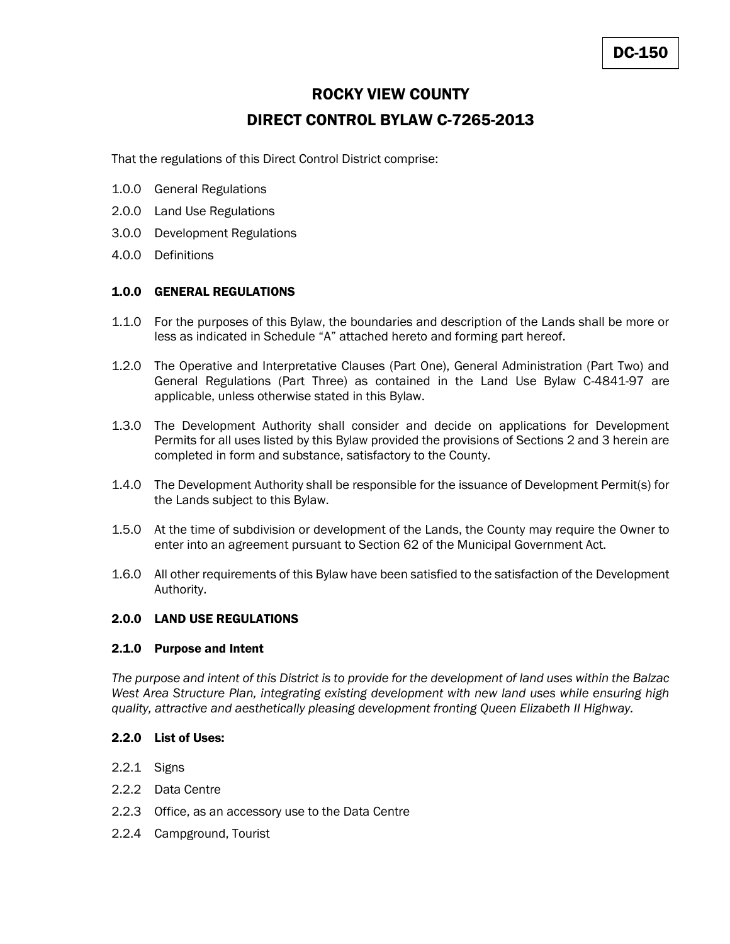# ROCKY VIEW COUNTY

# DIRECT CONTROL BYLAW C-7265-2013

That the regulations of this Direct Control District comprise:

- 1.0.0 General Regulations
- 2.0.0 Land Use Regulations
- 3.0.0 Development Regulations
- 4.0.0 Definitions

# 1.0.0 GENERAL REGULATIONS

- 1.1.0 For the purposes of this Bylaw, the boundaries and description of the Lands shall be more or less as indicated in Schedule "A" attached hereto and forming part hereof.
- 1.2.0 The Operative and Interpretative Clauses (Part One), General Administration (Part Two) and General Regulations (Part Three) as contained in the Land Use Bylaw C-4841-97 are applicable, unless otherwise stated in this Bylaw.
- 1.3.0 The Development Authority shall consider and decide on applications for Development Permits for all uses listed by this Bylaw provided the provisions of Sections 2 and 3 herein are completed in form and substance, satisfactory to the County.
- 1.4.0 The Development Authority shall be responsible for the issuance of Development Permit(s) for the Lands subject to this Bylaw.
- 1.5.0 At the time of subdivision or development of the Lands, the County may require the Owner to enter into an agreement pursuant to Section 62 of the Municipal Government Act.
- 1.6.0 All other requirements of this Bylaw have been satisfied to the satisfaction of the Development Authority.

# 2.0.0 LAND USE REGULATIONS

#### 2.1.0 Purpose and Intent

*The purpose and intent of this District is to provide for the development of land uses within the Balzac*  West Area Structure Plan, integrating existing development with new land uses while ensuring high *quality, attractive and aesthetically pleasing development fronting Queen Elizabeth II Highway.*

#### 2.2.0 List of Uses:

- 2.2.1 Signs
- 2.2.2 Data Centre
- 2.2.3 Office, as an accessory use to the Data Centre
- 2.2.4 Campground, Tourist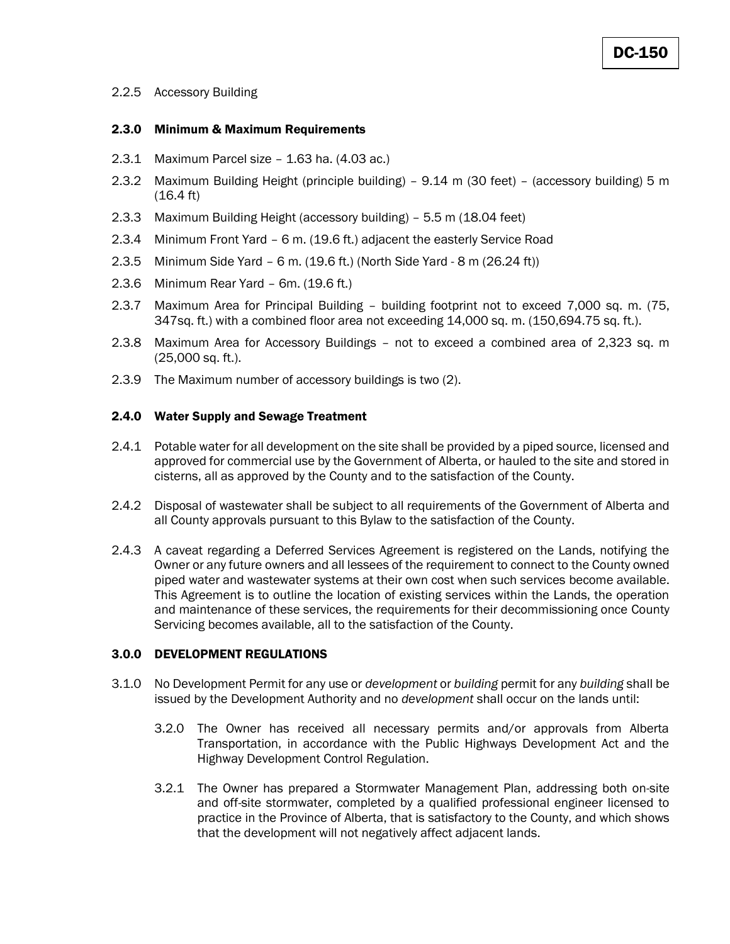# 2.2.5 Accessory Building

#### 2.3.0 Minimum & Maximum Requirements

- 2.3.1 Maximum Parcel size 1.63 ha. (4.03 ac.)
- 2.3.2 Maximum Building Height (principle building) 9.14 m (30 feet) (accessory building) 5 m (16.4 ft)
- 2.3.3 Maximum Building Height (accessory building) 5.5 m (18.04 feet)
- 2.3.4 Minimum Front Yard 6 m. (19.6 ft.) adjacent the easterly Service Road
- 2.3.5 Minimum Side Yard 6 m. (19.6 ft.) (North Side Yard 8 m (26.24 ft))
- 2.3.6 Minimum Rear Yard 6m. (19.6 ft.)
- 2.3.7 Maximum Area for Principal Building building footprint not to exceed 7,000 sq. m. (75, 347sq. ft.) with a combined floor area not exceeding 14,000 sq. m. (150,694.75 sq. ft.).
- 2.3.8 Maximum Area for Accessory Buildings not to exceed a combined area of 2,323 sq. m (25,000 sq. ft.).
- 2.3.9 The Maximum number of accessory buildings is two (2).

#### 2.4.0 Water Supply and Sewage Treatment

- 2.4.1 Potable water for all development on the site shall be provided by a piped source, licensed and approved for commercial use by the Government of Alberta, or hauled to the site and stored in cisterns, all as approved by the County and to the satisfaction of the County.
- 2.4.2 Disposal of wastewater shall be subject to all requirements of the Government of Alberta and all County approvals pursuant to this Bylaw to the satisfaction of the County.
- 2.4.3 A caveat regarding a Deferred Services Agreement is registered on the Lands, notifying the Owner or any future owners and all lessees of the requirement to connect to the County owned piped water and wastewater systems at their own cost when such services become available. This Agreement is to outline the location of existing services within the Lands, the operation and maintenance of these services, the requirements for their decommissioning once County Servicing becomes available, all to the satisfaction of the County.

#### 3.0.0 DEVELOPMENT REGULATIONS

- 3.1.0 No Development Permit for any use or *development* or *building* permit for any *building* shall be issued by the Development Authority and no *development* shall occur on the lands until:
	- 3.2.0 The Owner has received all necessary permits and/or approvals from Alberta Transportation, in accordance with the Public Highways Development Act and the Highway Development Control Regulation.
	- 3.2.1 The Owner has prepared a Stormwater Management Plan, addressing both on-site and off-site stormwater, completed by a qualified professional engineer licensed to practice in the Province of Alberta, that is satisfactory to the County, and which shows that the development will not negatively affect adjacent lands.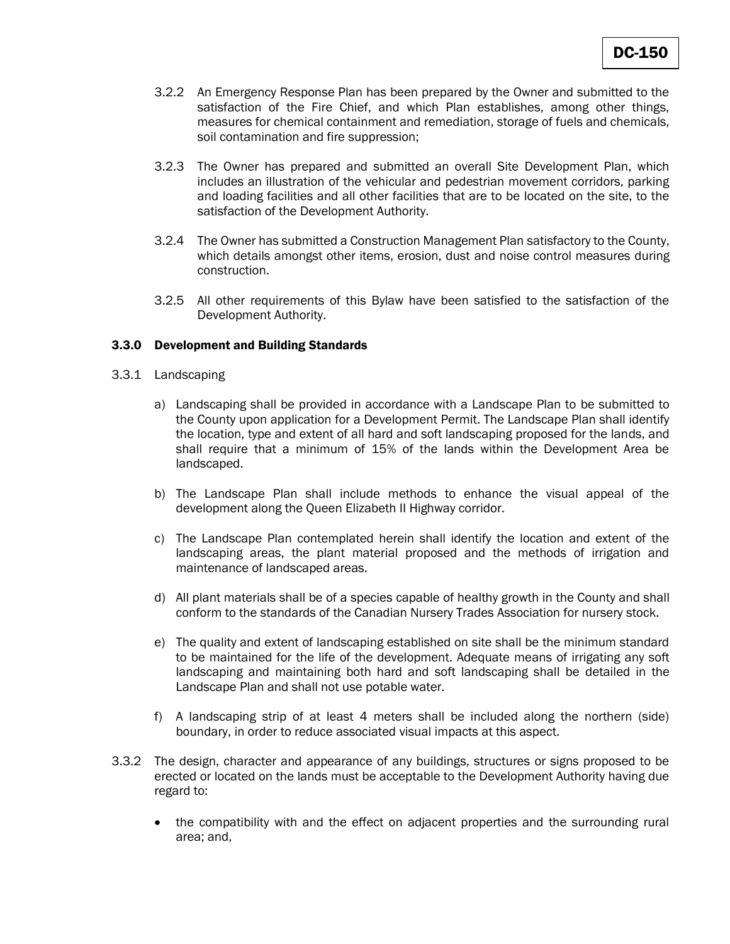- 3.2.2 An Emergency Response Plan has been prepared by the Owner and submitted to the satisfaction of the Fire Chief, and which Plan establishes, among other things, measures for chemical containment and remediation, storage of fuels and chemicals, soil contamination and fire suppression;
- 3.2.3 The Owner has prepared and submitted an overall Site Development Plan, which includes an illustration of the vehicular and pedestrian movement corridors, parking and loading facilities and all other facilities that are to be located on the site, to the satisfaction of the Development Authority.
- 3.2.4 The Owner has submitted a Construction Management Plan satisfactory to the County, which details amongst other items, erosion, dust and noise control measures during construction.
- 3.2.5 All other requirements of this Bylaw have been satisfied to the satisfaction of the Development Authority.

#### 3.3.0 Development and Building Standards

- 3.3.1 Landscaping
	- a) Landscaping shall be provided in accordance with a Landscape Plan to be submitted to the County upon application for a Development Permit. The Landscape Plan shall identify the location, type and extent of all hard and soft landscaping proposed for the lands, and shall require that a minimum of 15% of the lands within the Development Area be landscaped.
	- b) The Landscape Plan shall include methods to enhance the visual appeal of the development along the Queen Elizabeth II Highway corridor.
	- c) The Landscape Plan contemplated herein shall identify the location and extent of the landscaping areas, the plant material proposed and the methods of irrigation and maintenance of landscaped areas.
	- d) All plant materials shall be of a species capable of healthy growth in the County and shall conform to the standards of the Canadian Nursery Trades Association for nursery stock.
	- e) The quality and extent of landscaping established on site shall be the minimum standard to be maintained for the life of the development. Adequate means of irrigating any soft landscaping and maintaining both hard and soft landscaping shall be detailed in the Landscape Plan and shall not use potable water.
	- f) A landscaping strip of at least 4 meters shall be included along the northern (side) boundary, in order to reduce associated visual impacts at this aspect.
- 3.3.2 The design, character and appearance of any buildings, structures or signs proposed to be erected or located on the lands must be acceptable to the Development Authority having due regard to:
	- the compatibility with and the effect on adjacent properties and the surrounding rural area; and,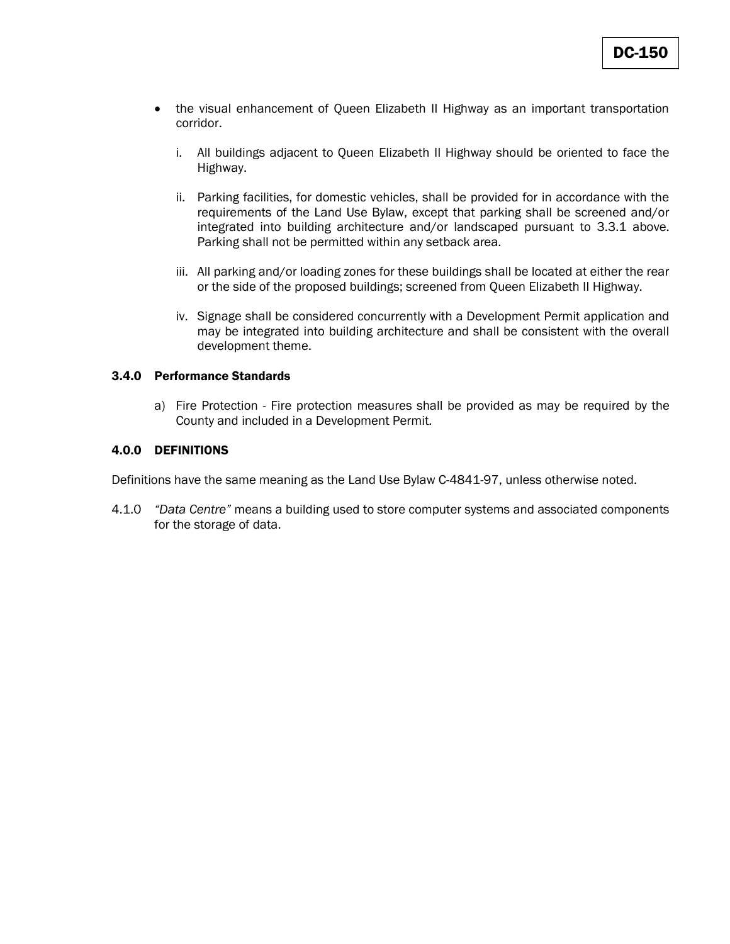- the visual enhancement of Queen Elizabeth II Highway as an important transportation corridor.
	- i. All buildings adjacent to Queen Elizabeth II Highway should be oriented to face the Highway.
	- ii. Parking facilities, for domestic vehicles, shall be provided for in accordance with the requirements of the Land Use Bylaw, except that parking shall be screened and/or integrated into building architecture and/or landscaped pursuant to 3.3.1 above. Parking shall not be permitted within any setback area.
	- iii. All parking and/or loading zones for these buildings shall be located at either the rear or the side of the proposed buildings; screened from Queen Elizabeth II Highway.
	- iv. Signage shall be considered concurrently with a Development Permit application and may be integrated into building architecture and shall be consistent with the overall development theme.

#### 3.4.0 Performance Standards

a) Fire Protection - Fire protection measures shall be provided as may be required by the County and included in a Development Permit.

# 4.0.0 DEFINITIONS

Definitions have the same meaning as the Land Use Bylaw C-4841-97, unless otherwise noted.

4.1.0 *"Data Centre"* means a building used to store computer systems and associated components for the storage of data.